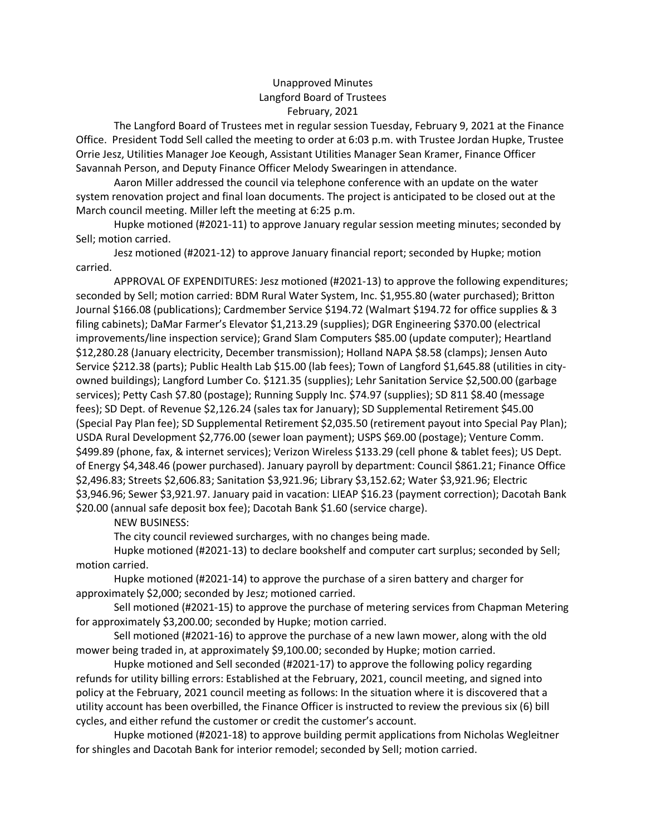## Unapproved Minutes Langford Board of Trustees February, 2021

The Langford Board of Trustees met in regular session Tuesday, February 9, 2021 at the Finance Office. President Todd Sell called the meeting to order at 6:03 p.m. with Trustee Jordan Hupke, Trustee Orrie Jesz, Utilities Manager Joe Keough, Assistant Utilities Manager Sean Kramer, Finance Officer Savannah Person, and Deputy Finance Officer Melody Swearingen in attendance.

 Aaron Miller addressed the council via telephone conference with an update on the water system renovation project and final loan documents. The project is anticipated to be closed out at the March council meeting. Miller left the meeting at 6:25 p.m.

 Hupke motioned (#2021-11) to approve January regular session meeting minutes; seconded by Sell; motion carried.

Jesz motioned (#2021-12) to approve January financial report; seconded by Hupke; motion carried.

 APPROVAL OF EXPENDITURES: Jesz motioned (#2021-13) to approve the following expenditures; seconded by Sell; motion carried: BDM Rural Water System, Inc. \$1,955.80 (water purchased); Britton Journal \$166.08 (publications); Cardmember Service \$194.72 (Walmart \$194.72 for office supplies & 3 filing cabinets); DaMar Farmer's Elevator \$1,213.29 (supplies); DGR Engineering \$370.00 (electrical improvements/line inspection service); Grand Slam Computers \$85.00 (update computer); Heartland \$12,280.28 (January electricity, December transmission); Holland NAPA \$8.58 (clamps); Jensen Auto Service \$212.38 (parts); Public Health Lab \$15.00 (lab fees); Town of Langford \$1,645.88 (utilities in cityowned buildings); Langford Lumber Co. \$121.35 (supplies); Lehr Sanitation Service \$2,500.00 (garbage services); Petty Cash \$7.80 (postage); Running Supply Inc. \$74.97 (supplies); SD 811 \$8.40 (message fees); SD Dept. of Revenue \$2,126.24 (sales tax for January); SD Supplemental Retirement \$45.00 (Special Pay Plan fee); SD Supplemental Retirement \$2,035.50 (retirement payout into Special Pay Plan); USDA Rural Development \$2,776.00 (sewer loan payment); USPS \$69.00 (postage); Venture Comm. \$499.89 (phone, fax, & internet services); Verizon Wireless \$133.29 (cell phone & tablet fees); US Dept. of Energy \$4,348.46 (power purchased). January payroll by department: Council \$861.21; Finance Office \$2,496.83; Streets \$2,606.83; Sanitation \$3,921.96; Library \$3,152.62; Water \$3,921.96; Electric \$3,946.96; Sewer \$3,921.97. January paid in vacation: LIEAP \$16.23 (payment correction); Dacotah Bank \$20.00 (annual safe deposit box fee); Dacotah Bank \$1.60 (service charge).

## NEW BUSINESS:

The city council reviewed surcharges, with no changes being made.

 Hupke motioned (#2021-13) to declare bookshelf and computer cart surplus; seconded by Sell; motion carried.

 Hupke motioned (#2021-14) to approve the purchase of a siren battery and charger for approximately \$2,000; seconded by Jesz; motioned carried.

 Sell motioned (#2021-15) to approve the purchase of metering services from Chapman Metering for approximately \$3,200.00; seconded by Hupke; motion carried.

 Sell motioned (#2021-16) to approve the purchase of a new lawn mower, along with the old mower being traded in, at approximately \$9,100.00; seconded by Hupke; motion carried.

Hupke motioned and Sell seconded (#2021-17) to approve the following policy regarding refunds for utility billing errors: Established at the February, 2021, council meeting, and signed into policy at the February, 2021 council meeting as follows: In the situation where it is discovered that a utility account has been overbilled, the Finance Officer is instructed to review the previous six (6) bill cycles, and either refund the customer or credit the customer's account.

 Hupke motioned (#2021-18) to approve building permit applications from Nicholas Wegleitner for shingles and Dacotah Bank for interior remodel; seconded by Sell; motion carried.